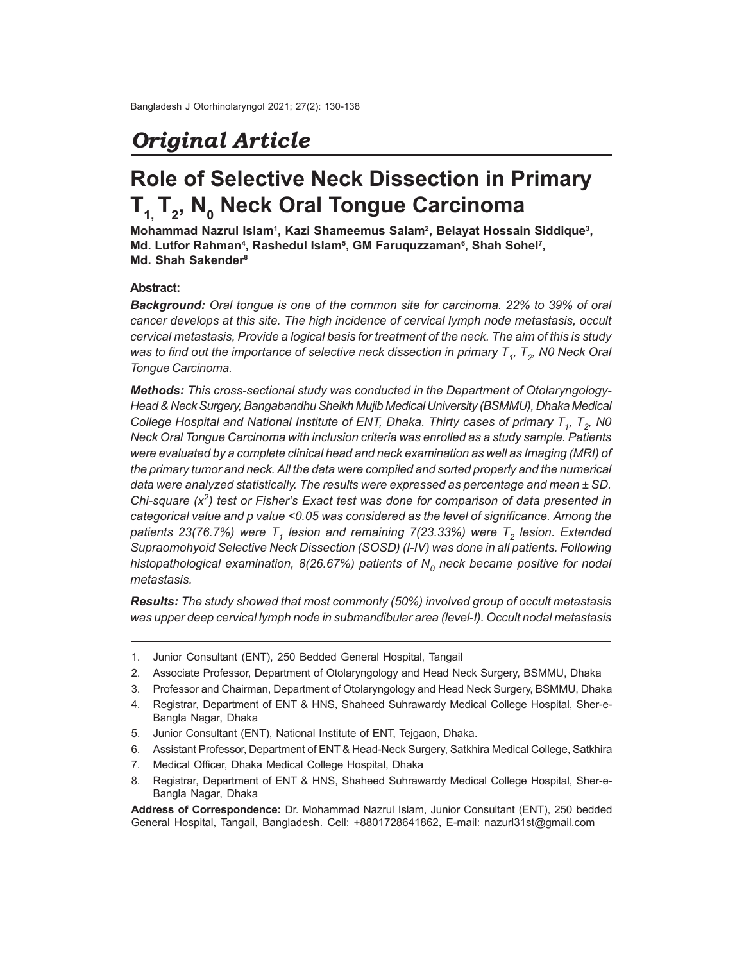## *Original Article*

# **Role of Selective Neck Dissection in Primary T1, T<sup>2</sup> , N<sup>0</sup> Neck Oral Tongue Carcinoma**

**Mohammad Nazrul Islam<sup>1</sup> , Kazi Shameemus Salam<sup>2</sup> , Belayat Hossain Siddique<sup>3</sup> , Md. Lutfor Rahman<sup>4</sup> , Rashedul Islam<sup>5</sup> , GM Faruquzzaman<sup>6</sup> , Shah Sohel<sup>7</sup> , Md. Shah Sakender<sup>8</sup>**

## **Abstract:**

*Background: Oral tongue is one of the common site for carcinoma. 22% to 39% of oral cancer develops at this site. The high incidence of cervical lymph node metastasis, occult cervical metastasis, Provide a logical basis for treatment of the neck. The aim of this is study was to find out the importance of selective neck dissection in primary T<sup>1</sup> , T<sup>2</sup> , N0 Neck Oral Tongue Carcinoma.*

*Methods: This cross-sectional study was conducted in the Department of Otolaryngology-Head & Neck Surgery, Bangabandhu Sheikh Mujib Medical University (BSMMU), Dhaka Medical College Hospital and National Institute of ENT, Dhaka. Thirty cases of primary T<sup>1</sup> , T<sup>2</sup> , N0 Neck Oral Tongue Carcinoma with inclusion criteria was enrolled as a study sample. Patients were evaluated by a complete clinical head and neck examination as well as Imaging (MRI) of the primary tumor and neck. All the data were compiled and sorted properly and the numerical data were analyzed statistically. The results were expressed as percentage and mean ± SD. Chi-square (x<sup>2</sup> ) test or Fisher's Exact test was done for comparison of data presented in categorical value and p value <0.05 was considered as the level of significance. Among the patients 23(76.7%) were T<sup>1</sup> lesion and remaining 7(23.33%) were T<sup>2</sup> lesion. Extended Supraomohyoid Selective Neck Dissection (SOSD) (I-IV) was done in all patients. Following histopathological examination, 8(26.67%) patients of N<sup>0</sup> neck became positive for nodal metastasis.*

*Results: The study showed that most commonly (50%) involved group of occult metastasis was upper deep cervical lymph node in submandibular area (level-I). Occult nodal metastasis*

8. Registrar, Department of ENT & HNS, Shaheed Suhrawardy Medical College Hospital, Sher-e-Bangla Nagar, Dhaka

<sup>1.</sup> Junior Consultant (ENT), 250 Bedded General Hospital, Tangail

<sup>2.</sup> Associate Professor, Department of Otolaryngology and Head Neck Surgery, BSMMU, Dhaka

<sup>3.</sup> Professor and Chairman, Department of Otolaryngology and Head Neck Surgery, BSMMU, Dhaka

<sup>4.</sup> Registrar, Department of ENT & HNS, Shaheed Suhrawardy Medical College Hospital, Sher-e-Bangla Nagar, Dhaka

<sup>5.</sup> Junior Consultant (ENT), National Institute of ENT, Tejgaon, Dhaka.

<sup>6.</sup> Assistant Professor, Department of ENT & Head-Neck Surgery, Satkhira Medical College, Satkhira

<sup>7.</sup> Medical Officer, Dhaka Medical College Hospital, Dhaka

**Address of Correspondence:** Dr. Mohammad Nazrul Islam, Junior Consultant (ENT), 250 bedded General Hospital, Tangail, Bangladesh. Cell: +8801728641862, E-mail: nazurl31st@gmail.com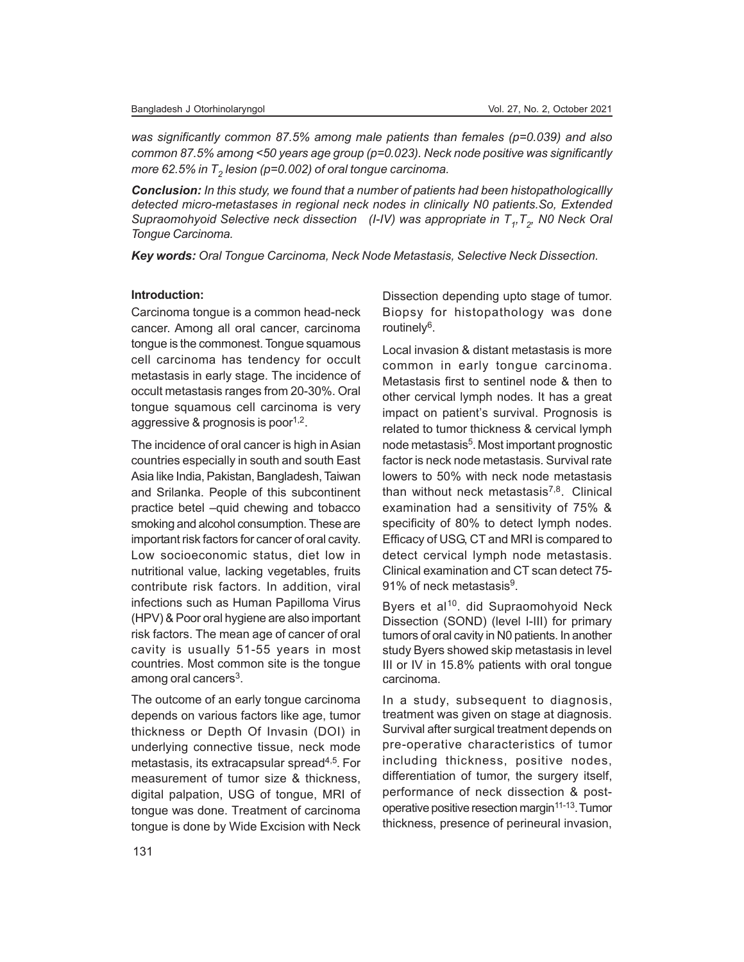*was significantly common 87.5% among male patients than females (p=0.039) and also common 87.5% among <50 years age group (p=0.023). Neck node positive was significantly more 62.5% in T<sup>2</sup> lesion (p=0.002) of oral tongue carcinoma.*

*Conclusion: In this study, we found that a number of patients had been histopathologicallly detected micro-metastases in regional neck nodes in clinically N0 patients.So, Extended Supraomohyoid Selective neck dissection (I-IV) was appropriate in T<sup>1</sup> ,T<sup>2</sup> , N0 Neck Oral Tongue Carcinoma.*

*Key words: Oral Tongue Carcinoma, Neck Node Metastasis, Selective Neck Dissection.*

## **Introduction:**

Carcinoma tongue is a common head-neck cancer. Among all oral cancer, carcinoma tongue is the commonest. Tongue squamous cell carcinoma has tendency for occult metastasis in early stage. The incidence of occult metastasis ranges from 20-30%. Oral tongue squamous cell carcinoma is very aggressive & prognosis is poor $1,2$ .

The incidence of oral cancer is high in Asian countries especially in south and south East Asia like India, Pakistan, Bangladesh, Taiwan and Srilanka. People of this subcontinent practice betel –quid chewing and tobacco smoking and alcohol consumption. These are important risk factors for cancer of oral cavity. Low socioeconomic status, diet low in nutritional value, lacking vegetables, fruits contribute risk factors. In addition, viral infections such as Human Papilloma Virus (HPV) & Poor oral hygiene are also important risk factors. The mean age of cancer of oral cavity is usually 51-55 years in most countries. Most common site is the tongue among oral cancers<sup>3</sup>.

The outcome of an early tongue carcinoma depends on various factors like age, tumor thickness or Depth Of Invasin (DOI) in underlying connective tissue, neck mode metastasis, its extracapsular spread4,5 . For measurement of tumor size & thickness, digital palpation, USG of tongue, MRI of tongue was done. Treatment of carcinoma tongue is done by Wide Excision with Neck Dissection depending upto stage of tumor. Biopsy for histopathology was done routinely<sup>6</sup>.

Local invasion & distant metastasis is more common in early tongue carcinoma. Metastasis first to sentinel node & then to other cervical lymph nodes. It has a great impact on patient's survival. Prognosis is related to tumor thickness & cervical lymph node metastasis<sup>5</sup>. Most important prognostic factor is neck node metastasis. Survival rate lowers to 50% with neck node metastasis than without neck metastasis<sup>7,8</sup>. Clinical examination had a sensitivity of 75% & specificity of 80% to detect lymph nodes. Efficacy of USG, CT and MRI is compared to detect cervical lymph node metastasis. Clinical examination and CT scan detect 75- 91% of neck metastasis<sup>9</sup>.

Byers et al<sup>10</sup>. did Supraomohyoid Neck Dissection (SOND) (level I-III) for primary tumors of oral cavity in N0 patients. In another study Byers showed skip metastasis in level III or IV in 15.8% patients with oral tongue carcinoma.

In a study, subsequent to diagnosis, treatment was given on stage at diagnosis. Survival after surgical treatment depends on pre-operative characteristics of tumor including thickness, positive nodes, differentiation of tumor, the surgery itself, performance of neck dissection & postoperative positive resection margin<sup>11-13</sup>. Tumor thickness, presence of perineural invasion,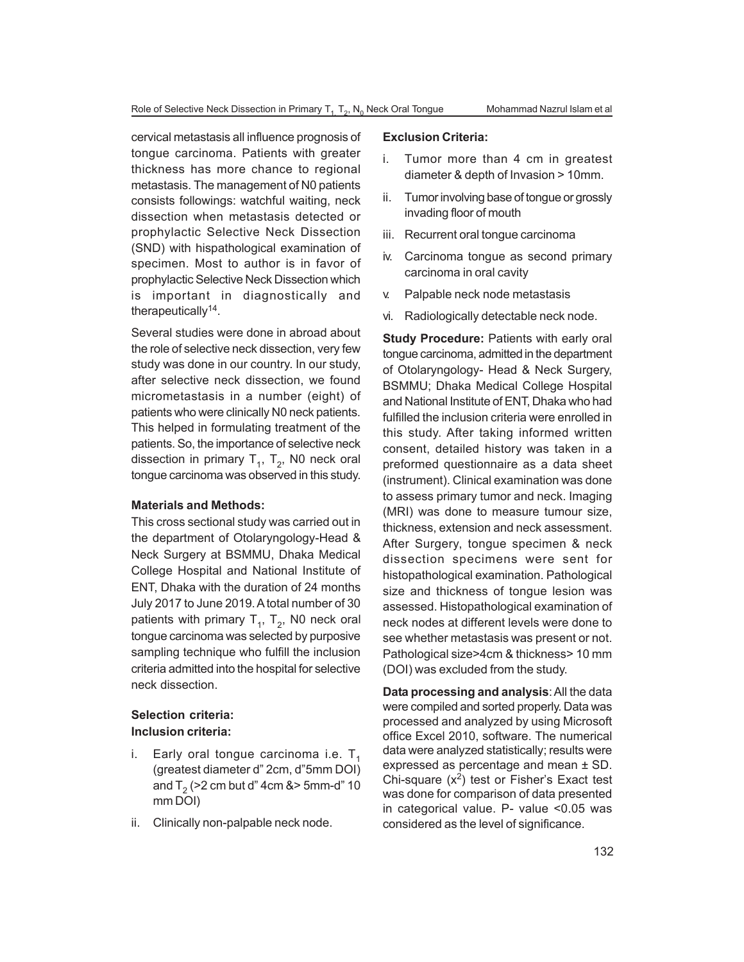cervical metastasis all influence prognosis of tongue carcinoma. Patients with greater thickness has more chance to regional metastasis. The management of N0 patients consists followings: watchful waiting, neck dissection when metastasis detected or prophylactic Selective Neck Dissection (SND) with hispathological examination of specimen. Most to author is in favor of prophylactic Selective Neck Dissection which is important in diagnostically and therapeutically<sup>14</sup>.

Several studies were done in abroad about the role of selective neck dissection, very few study was done in our country. In our study, after selective neck dissection, we found micrometastasis in a number (eight) of patients who were clinically N0 neck patients. This helped in formulating treatment of the patients. So, the importance of selective neck dissection in primary  ${\sf T}_1^{}$ ,  ${\sf T}_2^{}$ , N0 neck oral tongue carcinoma was observed in this study.

#### **Materials and Methods:**

This cross sectional study was carried out in the department of Otolaryngology-Head & Neck Surgery at BSMMU, Dhaka Medical College Hospital and National Institute of ENT, Dhaka with the duration of 24 months July 2017 to June 2019. A total number of 30 patients with primary  ${\sf T}_1^{}$ ,  ${\sf T}_2^{}$ , N0 neck oral tongue carcinoma was selected by purposive sampling technique who fulfill the inclusion criteria admitted into the hospital for selective neck dissection.

## **Selection criteria: Inclusion criteria:**

- i. Early oral tongue carcinoma i.e.  $T_1$ (greatest diameter d" 2cm, d"5mm DOI) and T $_{\rm 2}$  (>2 cm but d" 4cm &> 5mm-d" 10 mm DOI)
- ii. Clinically non-palpable neck node.

#### **Exclusion Criteria:**

- i. Tumor more than 4 cm in greatest diameter & depth of Invasion > 10mm.
- ii. Tumor involving base of tongue or grossly invading floor of mouth
- iii. Recurrent oral tongue carcinoma
- iv. Carcinoma tongue as second primary carcinoma in oral cavity
- v. Palpable neck node metastasis
- vi. Radiologically detectable neck node.

**Study Procedure: Patients with early oral** tongue carcinoma, admitted in the department of Otolaryngology- Head & Neck Surgery, BSMMU; Dhaka Medical College Hospital and National Institute of ENT, Dhaka who had fulfilled the inclusion criteria were enrolled in this study. After taking informed written consent, detailed history was taken in a preformed questionnaire as a data sheet (instrument). Clinical examination was done to assess primary tumor and neck. Imaging (MRI) was done to measure tumour size, thickness, extension and neck assessment. After Surgery, tongue specimen & neck dissection specimens were sent for histopathological examination. Pathological size and thickness of tongue lesion was assessed. Histopathological examination of neck nodes at different levels were done to see whether metastasis was present or not. Pathological size>4cm & thickness> 10 mm (DOI) was excluded from the study.

**Data processing and analysis**: All the data were compiled and sorted properly. Data was processed and analyzed by using Microsoft office Excel 2010, software. The numerical data were analyzed statistically; results were expressed as percentage and mean ± SD. Chi-square  $(x^2)$  test or Fisher's Exact test was done for comparison of data presented in categorical value. P- value <0.05 was considered as the level of significance.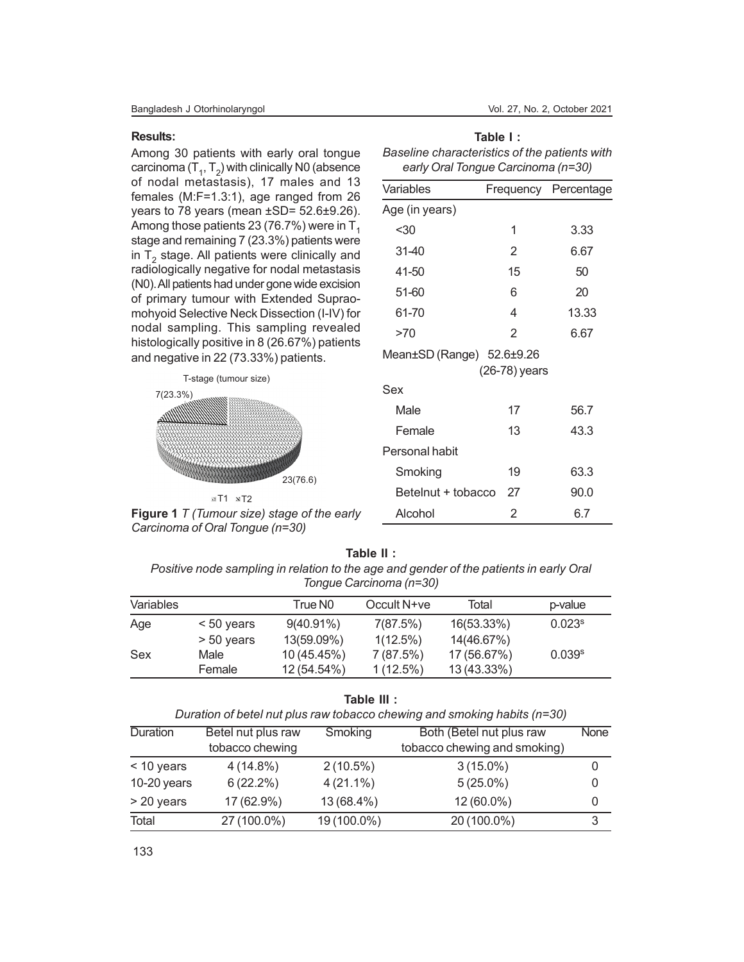#### **Results:**

Among 30 patients with early oral tongue carcinoma (T $_{1}$ , T $_{2}$ ) with clinically N0 (absence of nodal metastasis), 17 males and 13 females (M:F=1.3:1), age ranged from 26 years to 78 years (mean ±SD= 52.6±9.26). Among those patients 23 (76.7%) were in  $T_1$ stage and remaining 7 (23.3%) patients were in  ${\sf T}_2$  stage. All patients were clinically and radiologically negative for nodal metastasis (N0). All patients had under gone wide excision of primary tumour with Extended Supraomohyoid Selective Neck Dissection (I-IV) for nodal sampling. This sampling revealed histologically positive in 8 (26.67%) patients and negative in 22 (73.33%) patients.



**Figure 1** *T* (Tumour size) stage of the early *Carcinoma of Oral Tongue (n=30)*

| Baseline characteristics of the patients with<br>early Oral Tongue Carcinoma (n=30) |                |                      |
|-------------------------------------------------------------------------------------|----------------|----------------------|
| Variables                                                                           |                | Frequency Percentage |
| Age (in years)                                                                      |                |                      |
| $30$                                                                                | 1              | 3.33                 |
| $31 - 40$                                                                           | $\overline{2}$ | 6.67                 |
| 41-50                                                                               | 15             | 50                   |
| 51-60                                                                               | 6              | 20                   |
| 61-70                                                                               | 4              | 13.33                |
| >70                                                                                 | 2              | 6.67                 |
| Mean $\pm$ SD (Range) $52.6\pm9.26$                                                 | (26-78) years  |                      |
| Sex                                                                                 |                |                      |
| Male                                                                                | 17             | 56.7                 |
| Female                                                                              | 13             | 43.3                 |
| Personal habit                                                                      |                |                      |
| Smoking                                                                             | 19             | 63.3                 |
| Betelnut + tobacco                                                                  | 27             | 90.0                 |
| Alcohol                                                                             | 2              | 6.7                  |

**Table II :**

*Positive node sampling in relation to the age and gender of the patients in early Oral Tongue Carcinoma (n=30)*

| Variables |              | True N0      | Occult N+ve | Total       | p-value            |
|-----------|--------------|--------------|-------------|-------------|--------------------|
| Age       | $< 50$ years | $9(40.91\%)$ | 7(87.5%)    | 16(53.33%)  | 0.023 <sup>s</sup> |
|           | $> 50$ years | 13(59.09%)   | 1(12.5%)    | 14(46.67%)  |                    |
| Sex       | Male         | 10 (45.45%)  | 7(87.5%)    | 17 (56.67%) | 0.039 <sup>s</sup> |
|           | Female       | 12 (54.54%)  | $1(12.5\%)$ | 13 (43.33%) |                    |

| Table III : |
|-------------|
|-------------|

| Duration of betel nut plus raw tobacco chewing and smoking habits (n=30) |  |  |  |  |
|--------------------------------------------------------------------------|--|--|--|--|
|--------------------------------------------------------------------------|--|--|--|--|

| Duration    | Betel nut plus raw<br>tobacco chewing | Smoking     | Both (Betel nut plus raw<br>tobacco chewing and smoking) | <b>None</b> |
|-------------|---------------------------------------|-------------|----------------------------------------------------------|-------------|
| < 10 years  | $4(14.8\%)$                           | $2(10.5\%)$ | $3(15.0\%)$                                              |             |
| 10-20 years | $6(22.2\%)$                           | $4(21.1\%)$ | $5(25.0\%)$                                              | 0           |
| > 20 years  | 17 (62.9%)                            | 13 (68.4%)  | 12 (60.0%)                                               | 0           |
| Total       | 27 (100.0%)                           | 19 (100.0%) | 20 (100.0%)                                              | 3           |

**Table I :**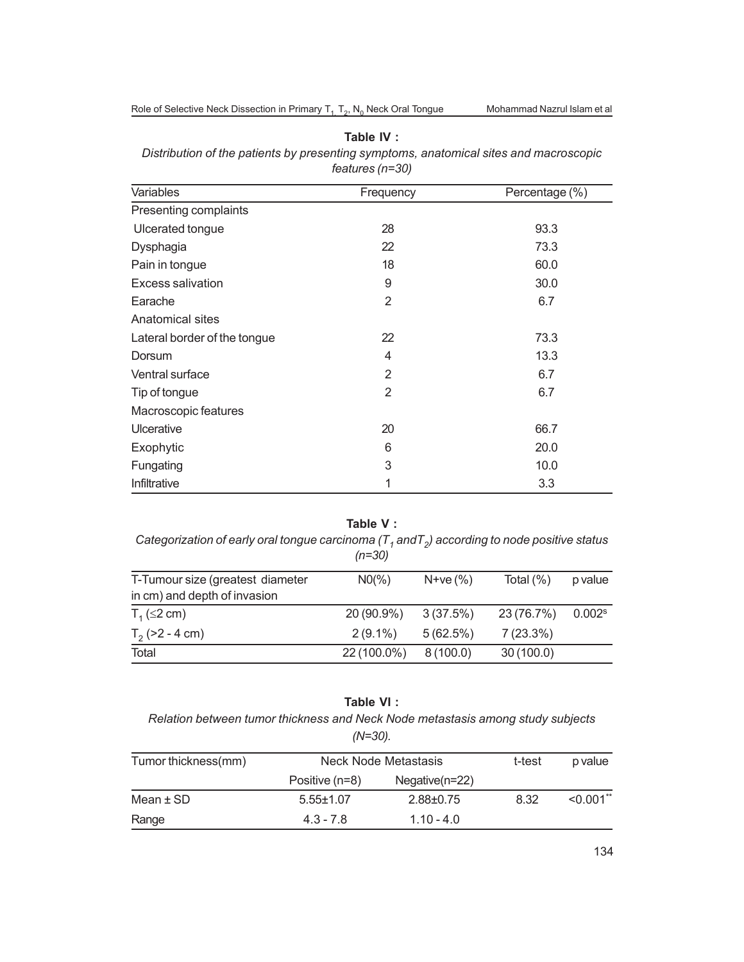## **Table IV :**

*Distribution of the patients by presenting symptoms, anatomical sites and macroscopic features (n=30)*

| Variables                    | Frequency      | Percentage (%) |  |
|------------------------------|----------------|----------------|--|
| Presenting complaints        |                |                |  |
| Ulcerated tongue             | 28             | 93.3           |  |
| Dysphagia                    | 22             | 73.3           |  |
| Pain in tongue               | 18             | 60.0           |  |
| <b>Excess salivation</b>     | 9              | 30.0           |  |
| Earache                      | 2              | 6.7            |  |
| Anatomical sites             |                |                |  |
| Lateral border of the tongue | 22             | 73.3           |  |
| Dorsum                       | 4              | 13.3           |  |
| Ventral surface              | $\overline{2}$ | 6.7            |  |
| Tip of tongue                | 2              | 6.7            |  |
| Macroscopic features         |                |                |  |
| Ulcerative                   | 20             | 66.7           |  |
| Exophytic                    | 6              | 20.0           |  |
| Fungating                    | 3              | 10.0           |  |
| Infiltrative                 | 1              | 3.3            |  |

#### **Table V :**

*Categorization of early oral tongue carcinoma (T<sup>1</sup> andT<sup>2</sup> ) according to node positive status (n=30)*

| T-Tumour size (greatest diameter | $N0\%$ )    | $N+ve$ $%$ | Total $(\% )$ | p value            |
|----------------------------------|-------------|------------|---------------|--------------------|
| in cm) and depth of invasion     |             |            |               |                    |
| $T_1$ ( $\leq$ 2 cm)             | 20 (90.9%)  | 3(37.5%)   | 23 (76.7%)    | 0.002 <sup>s</sup> |
| $T2$ (>2 - 4 cm)                 | $2(9.1\%)$  | 5(62.5%)   | $7(23.3\%)$   |                    |
| Total                            | 22 (100.0%) | 8(100.0)   | 30(100.0)     |                    |

## **Table VI :**

*Relation between tumor thickness and Neck Node metastasis among study subjects (N=30).*

| Tumor thickness(mm) | Neck Node Metastasis |                  | t-test | p value                 |
|---------------------|----------------------|------------------|--------|-------------------------|
|                     | Positive (n=8)       | $Negative(n=22)$ |        |                         |
| Mean $\pm$ SD       | $5.55 \pm 1.07$      | $2.88 \pm 0.75$  | 8.32   | $< 0.001$ <sup>**</sup> |
| Range               | $4.3 - 7.8$          | $1.10 - 4.0$     |        |                         |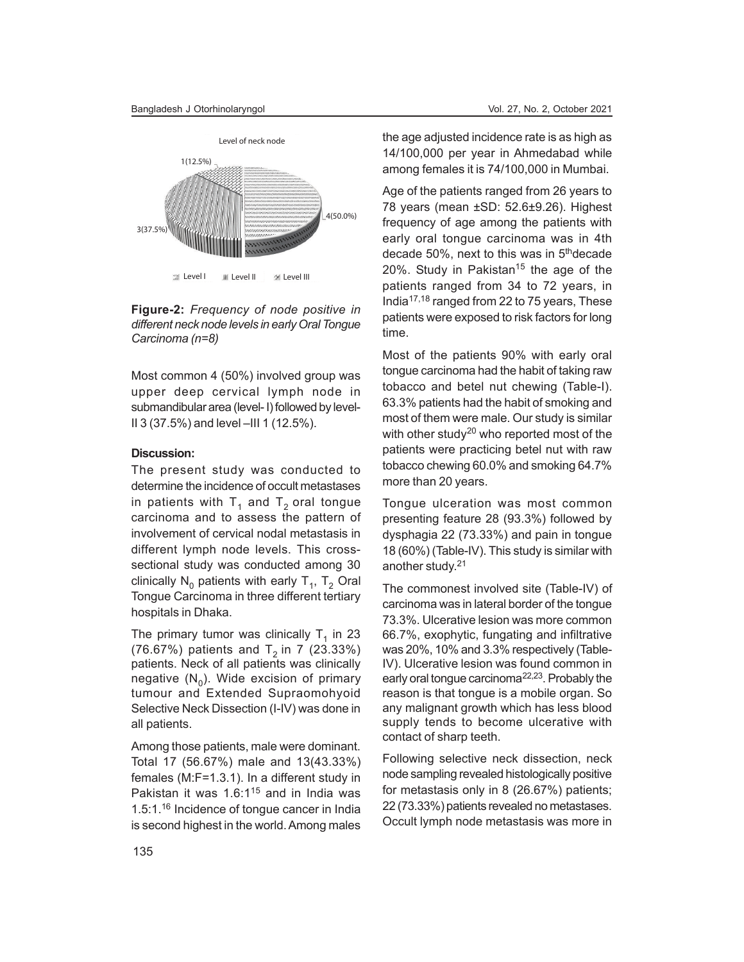

**Figure-2:** *Frequency of node positive in different neck node levels in early Oral Tongue Carcinoma (n=8)*

Most common 4 (50%) involved group was upper deep cervical lymph node in submandibular area (level- I) followed by level-II 3 (37.5%) and level –III 1 (12.5%).

## **Discussion:**

The present study was conducted to determine the incidence of occult metastases in patients with  ${\sf T}_1$  and  ${\sf T}_2$  oral tongue carcinoma and to assess the pattern of involvement of cervical nodal metastasis in different lymph node levels. This crosssectional study was conducted among 30 clinically  $\mathsf{N}_{\overline{0}}$  patients with early  $\mathsf{T}_{\overline{1}},\,\mathsf{T}_{\overline{2}}$  Oral Tongue Carcinoma in three different tertiary hospitals in Dhaka.

The primary tumor was clinically T<sub>1</sub> in 23 (76.67%) patients and  $T_2$  in 7 (23.33%) patients. Neck of all patients was clinically negative (N<sub>0</sub>). Wide excision of primary tumour and Extended Supraomohyoid Selective Neck Dissection (I-IV) was done in all patients.

Among those patients, male were dominant. Total 17 (56.67%) male and 13(43.33%) females (M:F=1.3.1). In a different study in Pakistan it was  $1.6:1^{15}$  and in India was 1.5:1.16 Incidence of tongue cancer in India is second highest in the world. Among males

the age adjusted incidence rate is as high as 14/100,000 per year in Ahmedabad while among females it is 74/100,000 in Mumbai.

Age of the patients ranged from 26 years to 78 years (mean ±SD: 52.6±9.26). Highest frequency of age among the patients with early oral tongue carcinoma was in 4th decade 50%, next to this was in 5<sup>th</sup>decade 20%. Study in Pakistan<sup>15</sup> the age of the patients ranged from 34 to 72 years, in India<sup>17,18</sup> ranged from 22 to 75 years, These patients were exposed to risk factors for long time.

Most of the patients 90% with early oral tongue carcinoma had the habit of taking raw tobacco and betel nut chewing (Table-I). 63.3% patients had the habit of smoking and most of them were male. Our study is similar with other study<sup>20</sup> who reported most of the patients were practicing betel nut with raw tobacco chewing 60.0% and smoking 64.7% more than 20 years.

Tongue ulceration was most common presenting feature 28 (93.3%) followed by dysphagia 22 (73.33%) and pain in tongue 18 (60%) (Table-IV). This study is similar with another study. 21

The commonest involved site (Table-IV) of carcinoma was in lateral border of the tongue 73.3%. Ulcerative lesion was more common 66.7%, exophytic, fungating and infiltrative was 20%, 10% and 3.3% respectively (Table-IV). Ulcerative lesion was found common in early oral tongue carcinoma22,23. Probably the reason is that tongue is a mobile organ. So any malignant growth which has less blood supply tends to become ulcerative with contact of sharp teeth.

Following selective neck dissection, neck node sampling revealed histologically positive for metastasis only in 8 (26.67%) patients; 22 (73.33%) patients revealed no metastases. Occult lymph node metastasis was more in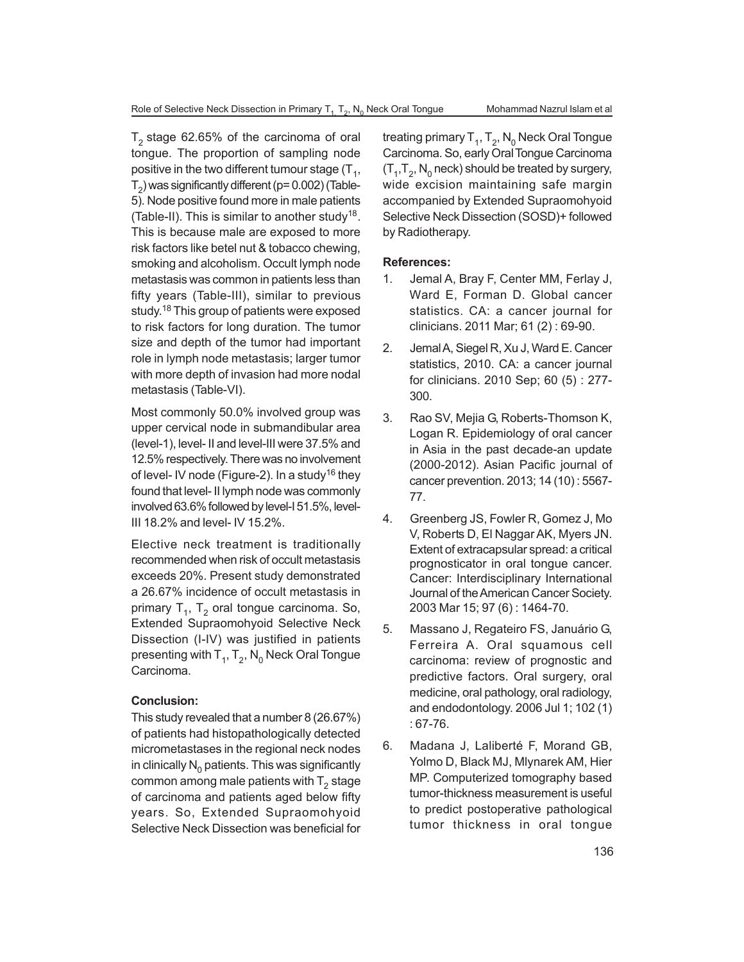$T_2$  stage 62.65% of the carcinoma of oral tongue. The proportion of sampling node positive in the two different tumour stage (T $_{\rm 1}$ ,  $\mathrm{T}_2$ ) was significantly different (p= 0.002) (Table-5). Node positive found more in male patients (Table-II). This is similar to another study<sup>18</sup>. This is because male are exposed to more risk factors like betel nut & tobacco chewing, smoking and alcoholism. Occult lymph node metastasis was common in patients less than fifty years (Table-III), similar to previous study. <sup>18</sup> This group of patients were exposed to risk factors for long duration. The tumor size and depth of the tumor had important role in lymph node metastasis; larger tumor with more depth of invasion had more nodal metastasis (Table-VI).

Most commonly 50.0% involved group was upper cervical node in submandibular area (level-1), level- II and level-III were 37.5% and 12.5% respectively. There was no involvement of level- IV node (Figure-2). In a study<sup>16</sup> they found that level- II lymph node was commonly involved 63.6% followed by level-I 51.5%, level-III 18.2% and level- IV 15.2%.

Elective neck treatment is traditionally recommended when risk of occult metastasis exceeds 20%. Present study demonstrated a 26.67% incidence of occult metastasis in primary  ${\sf T}_1, \, {\sf T}_2$  oral tongue carcinoma. So, Extended Supraomohyoid Selective Neck Dissection (I-IV) was justified in patients presenting with  $\mathsf{T}_{\mathsf{1}},\mathsf{T}_{\mathsf{2}},\mathsf{N}_{\mathsf{0}}$  Neck Oral Tongue Carcinoma.

## **Conclusion:**

This study revealed that a number 8 (26.67%) of patients had histopathologically detected micrometastases in the regional neck nodes in clinically  $\mathsf{N}_{0}$  patients. This was significantly common among male patients with  $\mathsf{T}_2$  stage of carcinoma and patients aged below fifty years. So, Extended Supraomohyoid Selective Neck Dissection was beneficial for

treating primary T $_{\rm 1}$ , T $_{\rm 2}$ , N $_{\rm 0}$  Neck Oral Tongue Carcinoma. So, early Oral Tongue Carcinoma  $\mathsf{(T}_1\!,\! \mathsf{T}_2\!,\mathsf{N}_0\!$  neck) should be treated by surgery, wide excision maintaining safe margin accompanied by Extended Supraomohyoid Selective Neck Dissection (SOSD)+ followed by Radiotherapy.

#### **References:**

- 1. Jemal A, Bray F, Center MM, Ferlay J, Ward E, Forman D. Global cancer statistics. CA: a cancer journal for clinicians. 2011 Mar; 61 (2) : 69-90.
- 2. Jemal A, Siegel R, Xu J, Ward E. Cancer statistics, 2010. CA: a cancer journal for clinicians. 2010 Sep; 60 (5) : 277- 300.
- 3. Rao SV, Mejia G, Roberts-Thomson K, Logan R. Epidemiology of oral cancer in Asia in the past decade-an update (2000-2012). Asian Pacific journal of cancer prevention. 2013; 14 (10) : 5567- 77.
- 4. Greenberg JS, Fowler R, Gomez J, Mo V, Roberts D, El Naggar AK, Myers JN. Extent of extracapsular spread: a critical prognosticator in oral tongue cancer. Cancer: Interdisciplinary International Journal of the American Cancer Society. 2003 Mar 15; 97 (6) : 1464-70.
- 5. Massano J, Regateiro FS, Januário G, Ferreira A. Oral squamous cell carcinoma: review of prognostic and predictive factors. Oral surgery, oral medicine, oral pathology, oral radiology, and endodontology. 2006 Jul 1; 102 (1) : 67-76.
- 6. Madana J, Laliberté F, Morand GB, Yolmo D, Black MJ, Mlynarek AM, Hier MP. Computerized tomography based tumor-thickness measurement is useful to predict postoperative pathological tumor thickness in oral tongue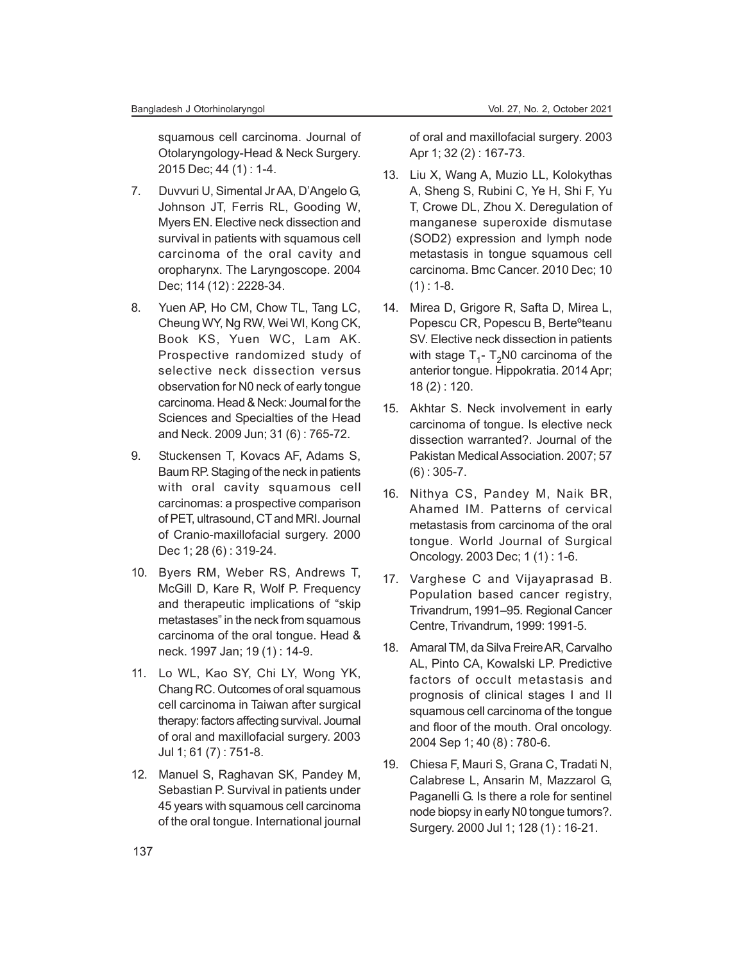squamous cell carcinoma. Journal of Otolaryngology-Head & Neck Surgery. 2015 Dec; 44 (1) : 1-4.

- 7. Duvvuri U, Simental Jr AA, D'Angelo G, Johnson JT, Ferris RL, Gooding W, Myers EN. Elective neck dissection and survival in patients with squamous cell carcinoma of the oral cavity and oropharynx. The Laryngoscope. 2004 Dec; 114 (12) : 2228-34.
- 8. Yuen AP, Ho CM, Chow TL, Tang LC, Cheung WY, Ng RW, Wei WI, Kong CK, Book KS, Yuen WC, Lam AK. Prospective randomized study of selective neck dissection versus observation for N0 neck of early tongue carcinoma. Head & Neck: Journal for the Sciences and Specialties of the Head and Neck. 2009 Jun; 31 (6) : 765-72.
- 9. Stuckensen T, Kovacs AF, Adams S, Baum RP. Staging of the neck in patients with oral cavity squamous cell carcinomas: a prospective comparison of PET, ultrasound, CT and MRI. Journal of Cranio-maxillofacial surgery. 2000 Dec 1; 28 (6): 319-24.
- 10. Byers RM, Weber RS, Andrews T, McGill D, Kare R, Wolf P. Frequency and therapeutic implications of "skip metastases" in the neck from squamous carcinoma of the oral tongue. Head & neck. 1997 Jan; 19 (1) : 14-9.
- 11. Lo WL, Kao SY, Chi LY, Wong YK, Chang RC. Outcomes of oral squamous cell carcinoma in Taiwan after surgical therapy: factors affecting survival. Journal of oral and maxillofacial surgery. 2003 Jul 1; 61 (7) : 751-8.
- 12. Manuel S, Raghavan SK, Pandey M, Sebastian P. Survival in patients under 45 years with squamous cell carcinoma of the oral tongue. International journal

of oral and maxillofacial surgery. 2003 Apr 1; 32 (2) : 167-73.

- 13. Liu X, Wang A, Muzio LL, Kolokythas A, Sheng S, Rubini C, Ye H, Shi F, Yu T, Crowe DL, Zhou X. Deregulation of manganese superoxide dismutase (SOD2) expression and lymph node metastasis in tongue squamous cell carcinoma. Bmc Cancer. 2010 Dec; 10  $(1)$ : 1-8.
- 14. Mirea D, Grigore R, Safta D, Mirea L, Popescu CR, Popescu B, Berteºteanu SV. Elective neck dissection in patients with stage  ${\sf T_1}$ -  ${\sf T_2}$ N0 carcinoma of the anterior tongue. Hippokratia. 2014 Apr; 18 (2) : 120.
- 15. Akhtar S. Neck involvement in early carcinoma of tongue. Is elective neck dissection warranted?. Journal of the Pakistan Medical Association. 2007; 57  $(6)$ : 305-7.
- 16. Nithya CS, Pandey M, Naik BR, Ahamed IM. Patterns of cervical metastasis from carcinoma of the oral tongue. World Journal of Surgical Oncology. 2003 Dec; 1 (1) : 1-6.
- 17. Varghese C and Vijayaprasad B. Population based cancer registry, Trivandrum, 1991–95. Regional Cancer Centre, Trivandrum, 1999: 1991-5.
- 18. Amaral TM, da Silva Freire AR, Carvalho AL, Pinto CA, Kowalski LP. Predictive factors of occult metastasis and prognosis of clinical stages I and II squamous cell carcinoma of the tongue and floor of the mouth. Oral oncology. 2004 Sep 1; 40 (8) : 780-6.
- 19. Chiesa F, Mauri S, Grana C, Tradati N, Calabrese L, Ansarin M, Mazzarol G, Paganelli G. Is there a role for sentinel node biopsy in early N0 tongue tumors?. Surgery. 2000 Jul 1; 128 (1) : 16-21.